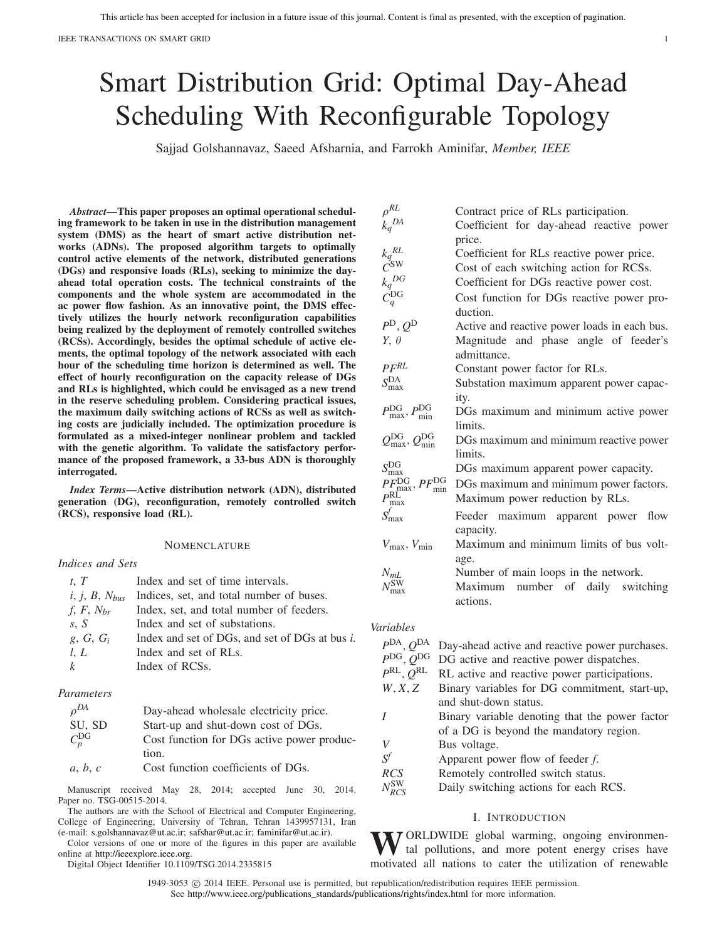# Smart Distribution Grid: Optimal Day-Ahead Scheduling With Reconfigurable Topology

Sajjad Golshannavaz, Saeed Afsharnia, and Farrokh Aminifar, *Member, IEEE*

*Abstract***—This paper proposes an optimal operational scheduling framework to be taken in use in the distribution management system (DMS) as the heart of smart active distribution networks (ADNs). The proposed algorithm targets to optimally control active elements of the network, distributed generations (DGs) and responsive loads (RLs), seeking to minimize the dayahead total operation costs. The technical constraints of the components and the whole system are accommodated in the ac power flow fashion. As an innovative point, the DMS effectively utilizes the hourly network reconfiguration capabilities being realized by the deployment of remotely controlled switches (RCSs). Accordingly, besides the optimal schedule of active elements, the optimal topology of the network associated with each hour of the scheduling time horizon is determined as well. The effect of hourly reconfiguration on the capacity release of DGs and RLs is highlighted, which could be envisaged as a new trend in the reserve scheduling problem. Considering practical issues, the maximum daily switching actions of RCSs as well as switching costs are judicially included. The optimization procedure is formulated as a mixed-integer nonlinear problem and tackled with the genetic algorithm. To validate the satisfactory performance of the proposed framework, a 33-bus ADN is thoroughly interrogated.**

*Index Terms***—Active distribution network (ADN), distributed generation (DG), reconfiguration, remotely controlled switch (RCS), responsive load (RL).**

#### **NOMENCLATURE**

#### *Indices and Sets*

| t, T               | Index and set of time intervals.               |
|--------------------|------------------------------------------------|
| $i, j, B, N_{bus}$ | Indices, set, and total number of buses.       |
| f, F, $N_{br}$     | Index, set, and total number of feeders.       |
| S, S               | Index and set of substations.                  |
| g, G, $G_i$        | Index and set of DGs, and set of DGs at bus i. |
| l, L               | Index and set of RLs.                          |
| $\mathbf{k}$       | Index of RCSs.                                 |
|                    |                                                |

### *Parameters*

| $\rho^{DA}$    | Day-ahead wholesale electricity price.     |
|----------------|--------------------------------------------|
| SU, SD         | Start-up and shut-down cost of DGs.        |
| $C_p^{\rm DG}$ | Cost function for DGs active power produc- |
|                | tion.                                      |
| a, b, c        | Cost function coefficients of DGs.         |

Manuscript received May 28, 2014; accepted June 30, 2014. Paper no. TSG-00515-2014.

The authors are with the School of Electrical and Computer Engineering, College of Engineering, University of Tehran, Tehran 1439957131, Iran (e-mail: [s.golshannavaz@ut.ac.ir;](mailto:s.golshannavaz@ut.ac.ir) [safshar@ut.ac.ir;](mailto:safshar@ut.ac.ir) [faminifar@ut.ac.ir\)](mailto:faminifar@ut.ac.ir).

Color versions of one or more of the figures in this paper are available online at [http://ieeexplore](http://ieeexplore.ieee.org).ieee.org.

Digital Object Identifier 10.1109/TSG.2014.2335815

| $\rho^{RL}$                                                                    | Contract price of RLs participation.         |
|--------------------------------------------------------------------------------|----------------------------------------------|
| $k_q^{DA}$                                                                     | Coefficient for day-ahead reactive power     |
|                                                                                | price.                                       |
| $\frac{k_q^{RL}}{C^{\textrm{SW}}}$                                             | Coefficient for RLs reactive power price.    |
|                                                                                | Cost of each switching action for RCSs.      |
| $k_q^{DG}$                                                                     | Coefficient for DGs reactive power cost.     |
| $C_q^{\rm DG}$                                                                 | Cost function for DGs reactive power pro-    |
|                                                                                | duction.                                     |
| $P^{\text{D}}, Q^{\text{D}}$                                                   | Active and reactive power loads in each bus. |
| $Y, \theta$                                                                    | Magnitude and phase angle of feeder's        |
|                                                                                | admittance.                                  |
| $P F^{RL}$                                                                     | Constant power factor for RLs.               |
| $S_{\text{max}}^{\text{DA}}$                                                   | Substation maximum apparent power capac-     |
|                                                                                | ity.                                         |
| $P_{\text{max}}^{\text{DG}}, P_{\text{min}}^{\text{DG}}$                       | DGs maximum and minimum active power         |
|                                                                                | limits.                                      |
| $Q_{\text{max}}^{\text{DG}}, Q_{\text{min}}^{\text{DG}}$                       | DGs maximum and minimum reactive power       |
|                                                                                | limits.                                      |
| $S_{\rm max}^{\rm DG}$                                                         | DGs maximum apparent power capacity.         |
|                                                                                | DGs maximum and minimum power factors.       |
| $\frac{PF_{\max}^{\text{DG}}}{P_{\max}^{\text{RL}}}$ , $PF_{\min}^{\text{DG}}$ | Maximum power reduction by RLs.              |
| $S_{\text{max}}^f$                                                             | Feeder maximum apparent power<br>flow        |
|                                                                                | capacity.                                    |
| $V_{\text{max}}$ , $V_{\text{min}}$                                            | Maximum and minimum limits of bus volt-      |
|                                                                                | age.                                         |
|                                                                                | Number of main loops in the network.         |
| $\frac{N_{mL}}{N_{\max}^{\rm SW}}$                                             | Maximum number of daily switching            |
|                                                                                | actions.                                     |
|                                                                                |                                              |
| .                                                                              |                                              |

#### *Variables*

| P <sup>DA</sup> , Q            | Day-ahead active and reactive power purchases. |
|--------------------------------|------------------------------------------------|
| P <sup>DG</sup>                | DG active and reactive power dispatches.       |
| $P^{\text{RL}}, Q^{\text{RL}}$ | RL active and reactive power participations.   |
| W, X, Z                        | Binary variables for DG commitment, start-up,  |
|                                | and shut-down status.                          |
|                                | Binary variable denoting that the power factor |
|                                | of a DG is beyond the mandatory region.        |
| V                              | Bus voltage.                                   |
| .V                             | Apparent power flow of feeder f.               |
| <b>RCS</b>                     | Remotely controlled switch status.             |
| $N_{BC}^{\rm SW}$              | Daily switching actions for each RCS.          |
|                                |                                                |

#### I. INTRODUCTION

WORLDWIDE global warming, ongoing environmen-<br>tal pollutions, and more potent energy crises have motivated all nations to cater the utilization of renewable

1949-3053  $\odot$  2014 IEEE. Personal use is permitted, but republication/redistribution requires IEEE permission. See [http://www.ieee.org/publications\\_standards/publications/rights/index.html](http://www.ieee.org/publications_standards/publications/rights/index.html) for more information.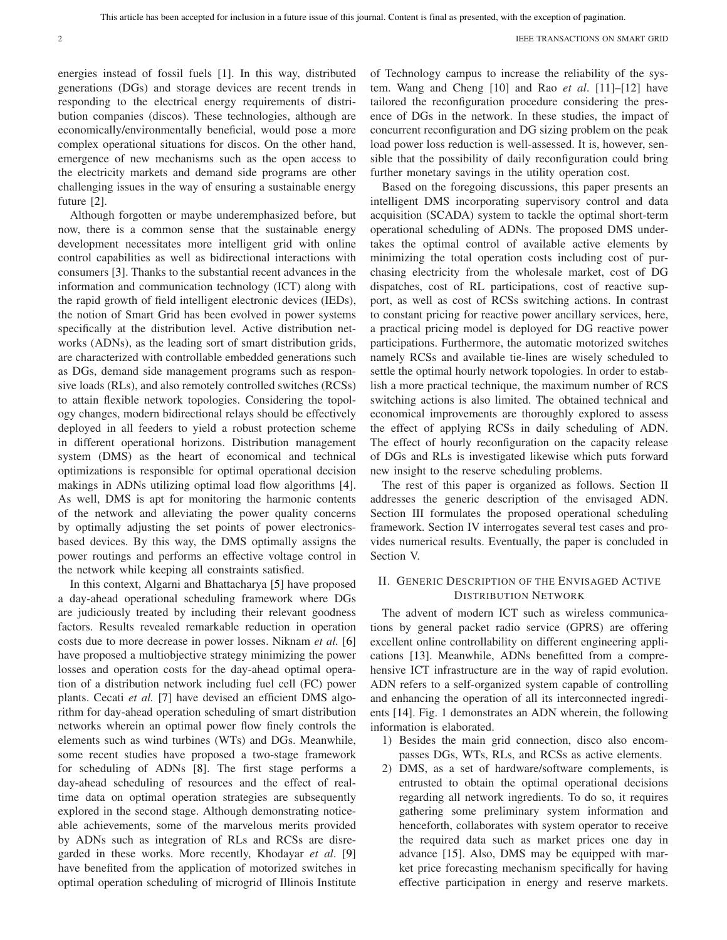2 IEEE TRANSACTIONS ON SMART GRID

energies instead of fossil fuels [1]. In this way, distributed generations (DGs) and storage devices are recent trends in responding to the electrical energy requirements of distribution companies (discos). These technologies, although are economically/environmentally beneficial, would pose a more complex operational situations for discos. On the other hand, emergence of new mechanisms such as the open access to the electricity markets and demand side programs are other challenging issues in the way of ensuring a sustainable energy future [2].

Although forgotten or maybe underemphasized before, but now, there is a common sense that the sustainable energy development necessitates more intelligent grid with online control capabilities as well as bidirectional interactions with consumers [3]. Thanks to the substantial recent advances in the information and communication technology (ICT) along with the rapid growth of field intelligent electronic devices (IEDs), the notion of Smart Grid has been evolved in power systems specifically at the distribution level. Active distribution networks (ADNs), as the leading sort of smart distribution grids, are characterized with controllable embedded generations such as DGs, demand side management programs such as responsive loads (RLs), and also remotely controlled switches (RCSs) to attain flexible network topologies. Considering the topology changes, modern bidirectional relays should be effectively deployed in all feeders to yield a robust protection scheme in different operational horizons. Distribution management system (DMS) as the heart of economical and technical optimizations is responsible for optimal operational decision makings in ADNs utilizing optimal load flow algorithms [4]. As well, DMS is apt for monitoring the harmonic contents of the network and alleviating the power quality concerns by optimally adjusting the set points of power electronicsbased devices. By this way, the DMS optimally assigns the power routings and performs an effective voltage control in the network while keeping all constraints satisfied.

In this context, Algarni and Bhattacharya [5] have proposed a day-ahead operational scheduling framework where DGs are judiciously treated by including their relevant goodness factors. Results revealed remarkable reduction in operation costs due to more decrease in power losses. Niknam *et al.* [6] have proposed a multiobjective strategy minimizing the power losses and operation costs for the day-ahead optimal operation of a distribution network including fuel cell (FC) power plants. Cecati *et al.* [7] have devised an efficient DMS algorithm for day-ahead operation scheduling of smart distribution networks wherein an optimal power flow finely controls the elements such as wind turbines (WTs) and DGs. Meanwhile, some recent studies have proposed a two-stage framework for scheduling of ADNs [8]. The first stage performs a day-ahead scheduling of resources and the effect of realtime data on optimal operation strategies are subsequently explored in the second stage. Although demonstrating noticeable achievements, some of the marvelous merits provided by ADNs such as integration of RLs and RCSs are disregarded in these works. More recently, Khodayar *et al*. [9] have benefited from the application of motorized switches in optimal operation scheduling of microgrid of Illinois Institute

of Technology campus to increase the reliability of the system. Wang and Cheng [10] and Rao *et al*. [11]–[12] have tailored the reconfiguration procedure considering the presence of DGs in the network. In these studies, the impact of concurrent reconfiguration and DG sizing problem on the peak load power loss reduction is well-assessed. It is, however, sensible that the possibility of daily reconfiguration could bring further monetary savings in the utility operation cost.

Based on the foregoing discussions, this paper presents an intelligent DMS incorporating supervisory control and data acquisition (SCADA) system to tackle the optimal short-term operational scheduling of ADNs. The proposed DMS undertakes the optimal control of available active elements by minimizing the total operation costs including cost of purchasing electricity from the wholesale market, cost of DG dispatches, cost of RL participations, cost of reactive support, as well as cost of RCSs switching actions. In contrast to constant pricing for reactive power ancillary services, here, a practical pricing model is deployed for DG reactive power participations. Furthermore, the automatic motorized switches namely RCSs and available tie-lines are wisely scheduled to settle the optimal hourly network topologies. In order to establish a more practical technique, the maximum number of RCS switching actions is also limited. The obtained technical and economical improvements are thoroughly explored to assess the effect of applying RCSs in daily scheduling of ADN. The effect of hourly reconfiguration on the capacity release of DGs and RLs is investigated likewise which puts forward new insight to the reserve scheduling problems.

The rest of this paper is organized as follows. Section II addresses the generic description of the envisaged ADN. Section III formulates the proposed operational scheduling framework. Section IV interrogates several test cases and provides numerical results. Eventually, the paper is concluded in Section V.

#### II. GENERIC DESCRIPTION OF THE ENVISAGED ACTIVE DISTRIBUTION NETWORK

The advent of modern ICT such as wireless communications by general packet radio service (GPRS) are offering excellent online controllability on different engineering applications [13]. Meanwhile, ADNs benefitted from a comprehensive ICT infrastructure are in the way of rapid evolution. ADN refers to a self-organized system capable of controlling and enhancing the operation of all its interconnected ingredients [14]. Fig. 1 demonstrates an ADN wherein, the following information is elaborated.

- 1) Besides the main grid connection, disco also encompasses DGs, WTs, RLs, and RCSs as active elements.
- 2) DMS, as a set of hardware/software complements, is entrusted to obtain the optimal operational decisions regarding all network ingredients. To do so, it requires gathering some preliminary system information and henceforth, collaborates with system operator to receive the required data such as market prices one day in advance [15]. Also, DMS may be equipped with market price forecasting mechanism specifically for having effective participation in energy and reserve markets.